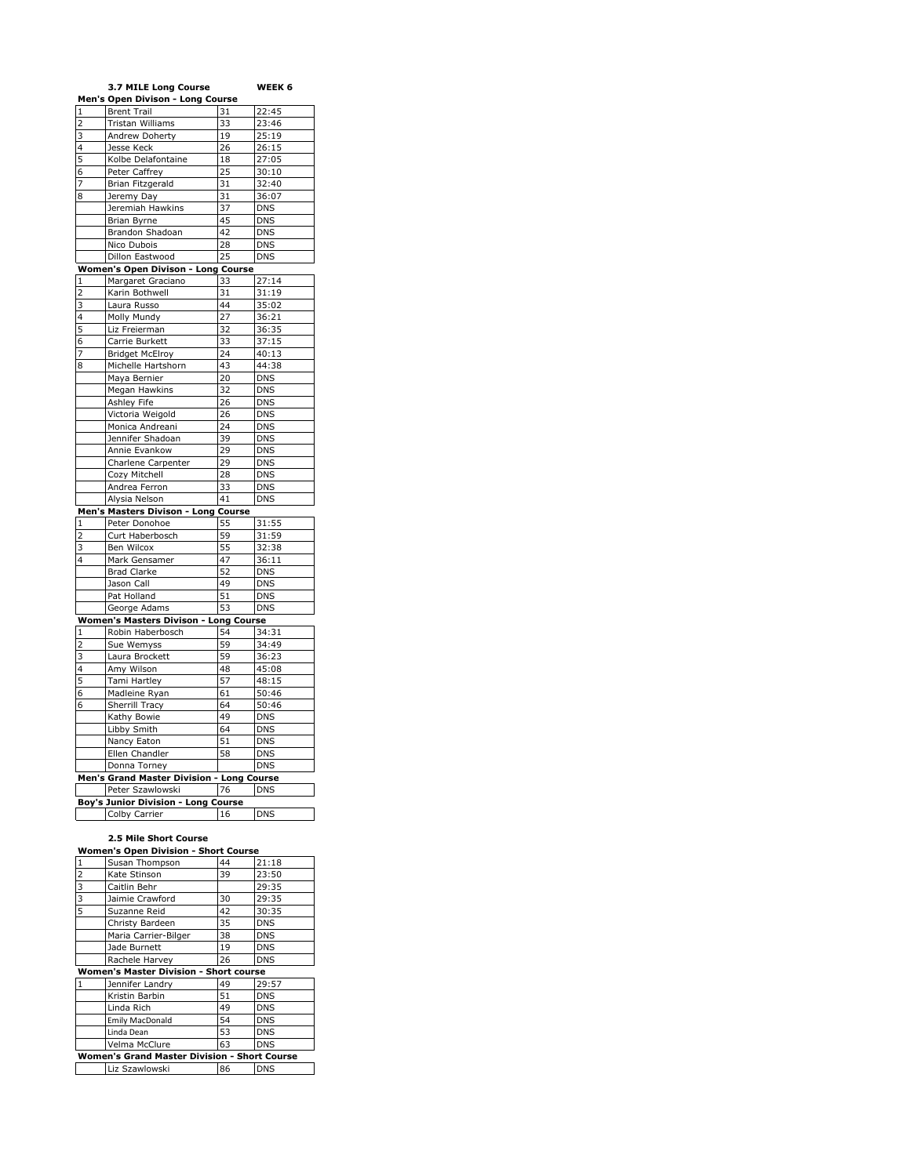|                | <b>3.7 MILE Long Course</b>                |    | WEEK 6           |
|----------------|--------------------------------------------|----|------------------|
|                | Men's Open Divison - Long Course           |    |                  |
| 1              | <b>Brent Trail</b>                         | 31 | 22:45            |
| $\overline{c}$ | Tristan Williams                           | 33 | 23:46            |
| 3              | Andrew Doherty                             | 19 | 25:19            |
| 4              | Jesse Keck                                 | 26 | 26:15            |
| 5              | Kolbe Delafontaine                         | 18 | 27:05            |
| 6              | Peter Caffrey                              | 25 | 30:10            |
| 7              | Brian Fitzgerald                           | 31 | 32:40            |
| 8              | Jeremy Day                                 | 31 | 36:07            |
|                | Jeremiah Hawkins                           | 37 | $DN\overline{S}$ |
|                | Brian Byrne                                | 45 | <b>DNS</b>       |
|                | Brandon Shadoan                            | 42 | <b>DNS</b>       |
|                | Nico Dubois                                | 28 | <b>DNS</b>       |
|                | Dillon Eastwood                            | 25 | <b>DNS</b>       |
|                | <u> Women's Open Divison - Long Course</u> |    |                  |
|                | Margaret Graciano                          | 33 | 27:14            |
| 1              |                                            | 31 |                  |
| 2              | Karin Bothwell                             |    | 31:19            |
| 3              | Laura Russo                                | 44 | 35:02            |
| 4              | Molly Mundy                                | 27 | 36:21            |
| 5              | Liz Freierman                              | 32 | 36:35            |
| 6              | Carrie Burkett                             | 33 | 37:15            |
| 7              | <b>Bridget McElroy</b>                     | 24 | 40:13            |
| 8              | Michelle Hartshorn                         | 43 | 44:38            |
|                | Maya Bernier                               | 20 | <b>DNS</b>       |
|                | Megan Hawkins                              | 32 | <b>DNS</b>       |
|                | Ashley Fife                                | 26 | <b>DNS</b>       |
|                | Victoria Weigold                           | 26 | <b>DNS</b>       |
|                | Monica Andreani                            | 24 | <b>DNS</b>       |
|                | Jennifer Shadoan                           | 39 | <b>DNS</b>       |
|                | Annie Evankow                              | 29 | <b>DNS</b>       |
|                | Charlene Carpenter                         | 29 | <b>DNS</b>       |
|                | Cozy Mitchell                              | 28 | <b>DNS</b>       |
|                | Andrea Ferron                              | 33 | <b>DNS</b>       |
|                | Alysia Nelson                              | 41 | <b>DNS</b>       |
|                | Men's Masters Divison - Long Course        |    |                  |
| $\mathbf{1}$   | Peter Donohoe                              | 55 | 31:55            |
| 2              | Curt Haberbosch                            | 59 | 31:59            |
| 3              | Ben Wilcox                                 | 55 | 32:38            |
| 4              | Mark Gensamer                              | 47 | 36:11            |
|                | <b>Brad Clarke</b>                         | 52 | <b>DNS</b>       |
|                | Jason Call                                 | 49 | <b>DNS</b>       |
|                | Pat Holland                                | 51 | <b>DNS</b>       |
|                | George Adams                               | 53 | <b>DNS</b>       |
|                | Women's Masters Divison - Long Course      |    |                  |
| $\mathbf{1}$   | Robin Haberbosch                           | 54 | 34:31            |
| 2              | Sue Wemyss                                 | 59 | 34:49            |
| 3              | Laura Brockett                             | 59 | 36:23            |
| 4              | Amy Wilson                                 | 48 | 45:08            |
| 5              | Tami Hartley                               | 57 | 48:15            |
| 6              | Madleine Ryan                              | 61 | 50:46            |
| 6              |                                            | 64 | 50:46            |
|                | Sherrill Tracy                             | 49 | <b>DNS</b>       |
|                | Kathy Bowie                                |    |                  |
|                | Libby Smith                                | 64 | <b>DNS</b>       |
|                | Nancy Eaton                                | 51 | <b>DNS</b>       |
|                | Ellen Chandler                             | 58 | <b>DNS</b>       |
|                | Donna Torney                               |    | <b>DNS</b>       |
|                | Men's Grand Master Division - Long Course  |    |                  |
|                | Peter Szawlowski                           | 76 | <b>DNS</b>       |
|                | Boy's Junior Division - Long Course        |    |                  |
|                | Colby Carrier                              | 16 | <b>DNS</b>       |
|                |                                            |    |                  |

## **2.5 Mile Short Course**

| <b>Women's Open Division - Short Course</b>  |                        |    |            |
|----------------------------------------------|------------------------|----|------------|
| 1                                            | Susan Thompson         | 44 | 21:18      |
| $\overline{2}$                               | Kate Stinson           | 39 | 23:50      |
| 3                                            | Caitlin Behr           |    | 29:35      |
| 3                                            | Jaimie Crawford        | 30 | 29:35      |
| 5                                            | Suzanne Reid           | 42 | 30:35      |
|                                              | Christy Bardeen        | 35 | <b>DNS</b> |
|                                              | Maria Carrier-Bilger   | 38 | <b>DNS</b> |
|                                              | Jade Burnett           | 19 | <b>DNS</b> |
|                                              | Rachele Harvey         | 26 | <b>DNS</b> |
| Women's Master Division - Short course       |                        |    |            |
| 1                                            | Jennifer Landry        | 49 | 29:57      |
|                                              | Kristin Barbin         | 51 | <b>DNS</b> |
|                                              | Linda Rich             | 49 | <b>DNS</b> |
|                                              | <b>Emily MacDonald</b> | 54 | <b>DNS</b> |
|                                              | Linda Dean             | 53 | <b>DNS</b> |
|                                              | Velma McClure          | 63 | <b>DNS</b> |
| Women's Grand Master Division - Short Course |                        |    |            |
|                                              | Liz Szawlowski         | 86 | <b>DNS</b> |